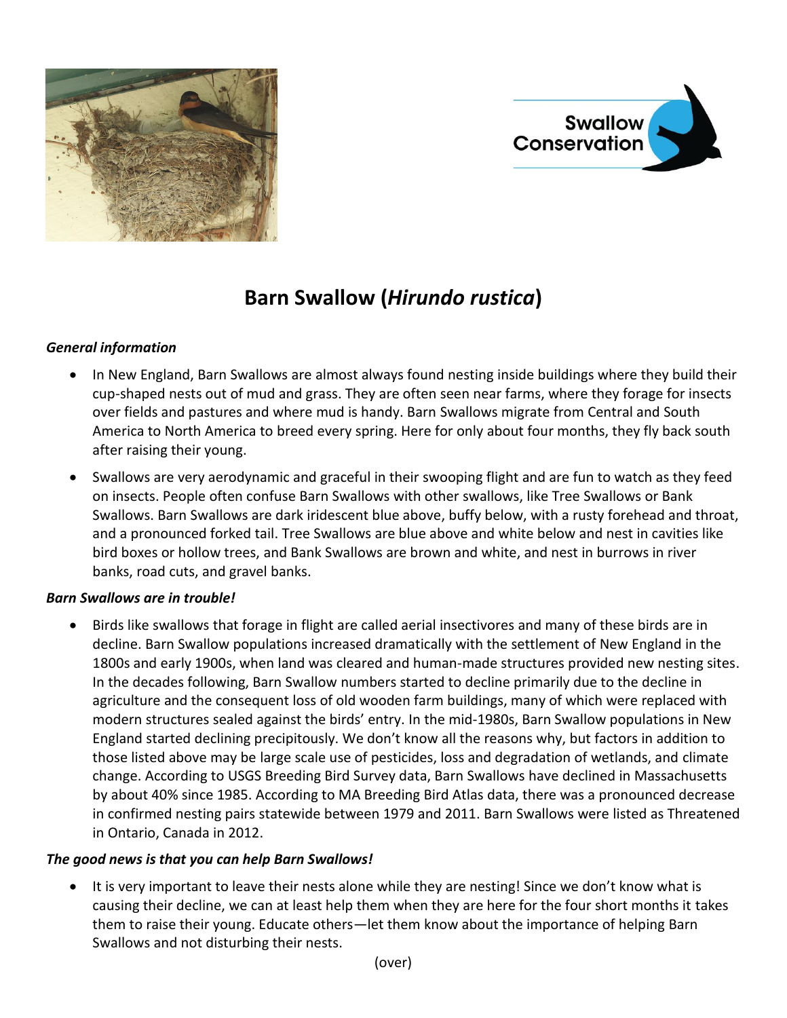



## **Barn Swallow (***Hirundo rustica***)**

## *General information*

- In New England, Barn Swallows are almost always found nesting inside buildings where they build their cup-shaped nests out of mud and grass. They are often seen near farms, where they forage for insects over fields and pastures and where mud is handy. Barn Swallows migrate from Central and South America to North America to breed every spring. Here for only about four months, they fly back south after raising their young.
- Swallows are very aerodynamic and graceful in their swooping flight and are fun to watch as they feed on insects. People often confuse Barn Swallows with other swallows, like Tree Swallows or Bank Swallows. Barn Swallows are dark iridescent blue above, buffy below, with a rusty forehead and throat, and a pronounced forked tail. Tree Swallows are blue above and white below and nest in cavities like bird boxes or hollow trees, and Bank Swallows are brown and white, and nest in burrows in river banks, road cuts, and gravel banks.

## *Barn Swallows are in trouble!*

• Birds like swallows that forage in flight are called aerial insectivores and many of these birds are in decline. Barn Swallow populations increased dramatically with the settlement of New England in the 1800s and early 1900s, when land was cleared and human-made structures provided new nesting sites. In the decades following, Barn Swallow numbers started to decline primarily due to the decline in agriculture and the consequent loss of old wooden farm buildings, many of which were replaced with modern structures sealed against the birds' entry. In the mid-1980s, Barn Swallow populations in New England started declining precipitously. We don't know all the reasons why, but factors in addition to those listed above may be large scale use of pesticides, loss and degradation of wetlands, and climate change. According to USGS Breeding Bird Survey data, Barn Swallows have declined in Massachusetts by about 40% since 1985. According to MA Breeding Bird Atlas data, there was a pronounced decrease in confirmed nesting pairs statewide between 1979 and 2011. Barn Swallows were listed as Threatened in Ontario, Canada in 2012.

## *The good news is that you can help Barn Swallows!*

 It is very important to leave their nests alone while they are nesting! Since we don't know what is causing their decline, we can at least help them when they are here for the four short months it takes them to raise their young. Educate others—let them know about the importance of helping Barn Swallows and not disturbing their nests.